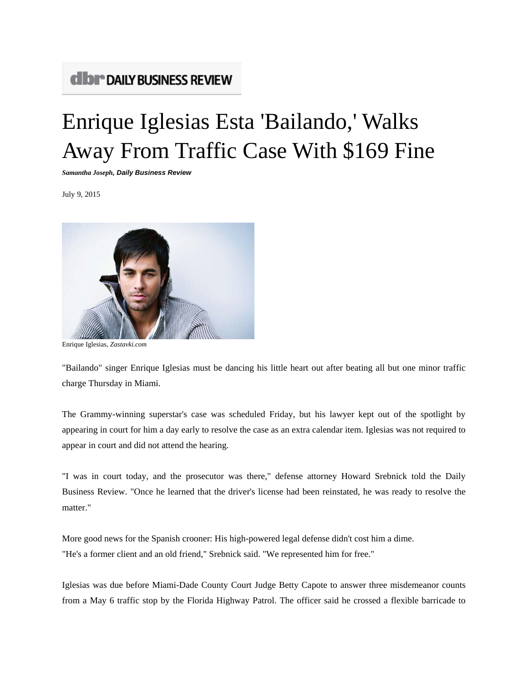## **CIDI<sup>\*</sup> DAILY BUSINESS REVIEW**

## Enrique Iglesias Esta 'Bailando,' Walks Away From Traffic Case With \$169 Fine

*Samantha Joseph, Daily Business Review*

July 9, 2015



Enrique Iglesias, *Zastavki.com*

"Bailando" singer Enrique Iglesias must be dancing his little heart out after beating all but one minor traffic charge Thursday in Miami.

The Grammy-winning superstar's case was scheduled Friday, but his lawyer kept out of the spotlight by appearing in court for him a day early to resolve the case as an extra calendar item. Iglesias was not required to appear in court and did not attend the hearing.

"I was in court today, and the prosecutor was there," defense attorney Howard Srebnick told the Daily Business Review. "Once he learned that the driver's license had been reinstated, he was ready to resolve the matter."

More good news for the Spanish crooner: His high-powered legal defense didn't cost him a dime. "He's a former client and an old friend," Srebnick said. "We represented him for free."

Iglesias was due before Miami-Dade County Court Judge Betty Capote to answer three misdemeanor counts from a May 6 traffic stop by the Florida Highway Patrol. The officer said he crossed a flexible barricade to